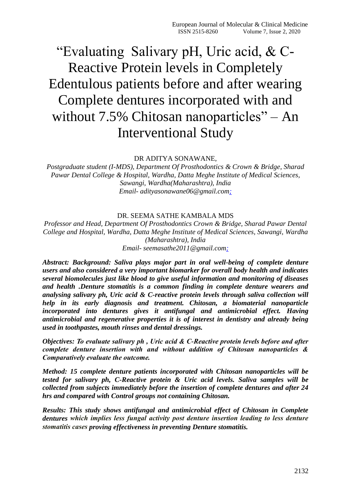# "Evaluating Salivary pH, Uric acid, & C-Reactive Protein levels in Completely Edentulous patients before and after wearing Complete dentures incorporated with and without 7.5% Chitosan nanoparticles" – An Interventional Study

#### DR ADITYA SONAWANE,

*Postgraduate student (I-MDS), Department Of Prosthodontics & Crown & Bridge, Sharad Pawar Dental College & Hospital, Wardha, Datta Meghe Institute of Medical Sciences, Sawangi, Wardha(Maharashtra), India Email- adityasonawane06@gmail.com;*

#### DR. SEEMA SATHE KAMBALA MDS

*Professor and Head, Department Of Prosthodontics Crown & Bridge, Sharad Pawar Dental College and Hospital, Wardha, Datta Meghe Institute of Medical Sciences, Sawangi, Wardha (Maharashtra), India Email- seemasathe2011@gmail.com;*

*Abstract: Background: Saliva plays major part in oral well-being of complete denture users and also considered a very important biomarker for overall body health and indicates several biomolecules just like blood to give useful information and monitoring of diseases and health .Denture stomatitis is a common finding in complete denture wearers and analysing salivary ph, Uric acid & C-reactive protein levels through saliva collection will help in its early diagnosis and treatment. Chitosan, a biomaterial nanoparticle incorporated into dentures gives it antifungal and antimicrobial effect. Having antimicrobial and regenerative properties it is of interest in dentistry and already being used in toothpastes, mouth rinses and dental dressings.*

*Objectives: To evaluate salivary ph , Uric acid & C-Reactive protein levels before and after complete denture insertion with and without addition of Chitosan nanoparticles & Comparatively evaluate the outcome.*

*Method: 15 complete denture patients incorporated with Chitosan nanoparticles will be tested for salivary ph, C-Reactive protein & Uric acid levels. Saliva samples will be collected from subjects immediately before the insertion of complete dentures and after 24 hrs and compared with Control groups not containing Chitosan.* 

*Results: This study shows antifungal and antimicrobial effect of Chitosan in Complete dentures which implies less fungal activity post denture insertion leading to less denture stomatitis cases proving effectiveness in preventing Denture stomatitis.*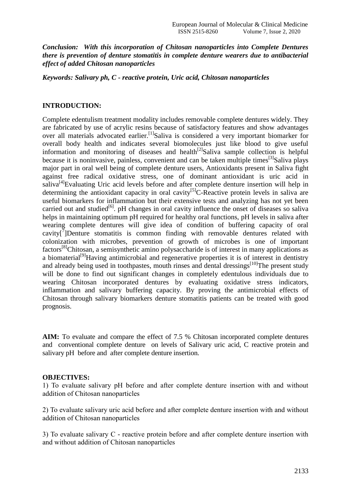*Conclusion: With this incorporation of Chitosan nanoparticles into Complete Dentures there is prevention of denture stomatitis in complete denture wearers due to antibacterial effect of added Chitosan nanoparticles*

*Keywords: Salivary ph, C - reactive protein, Uric acid, Chitosan nanoparticles*

#### **INTRODUCTION:**

Complete edentulism treatment modality includes removable complete dentures widely. They are fabricated by use of acrylic resins because of satisfactory features and show advantages over all materials advocated earlier.<sup>[1]</sup>Saliva is considered a very important biomarker for overall body health and indicates several biomolecules just like blood to give useful information and monitoring of diseases and health<sup>[2]</sup>Saliva sample collection is helpful because it is noninvasive, painless, convenient and can be taken multiple times<sup>[3]</sup>Saliva plays major part in oral well being of complete denture users, Antioxidants present in Saliva fight against free radical oxidative stress, one of dominant antioxidant is uric acid in saliva<sup>[4]</sup>Evaluating Uric acid levels before and after complete denture insertion will help in determining the antioxidant capacity in oral cavity<sup>[5]</sup>C-Reactive protein levels in saliva are useful biomarkers for inflammation but their extensive tests and analyzing has not yet been carried out and studied<sup>[6]</sup>. pH changes in oral cavity influence the onset of diseases so saliva helps in maintaining optimum pH required for healthy oral functions, pH levels in saliva after wearing complete dentures will give idea of condition of buffering capacity of oral cavity $[\sqrt[7]{}]$ Denture stomatitis is common finding with removable dentures related with colonization with microbes, prevention of growth of microbes is one of important factors[8]Chitosan, a semisynthetic amino polysaccharide is of interest in many applications as a biomaterial<sup>[9]</sup>Having antimicrobial and regenerative properties it is of interest in dentistry and already being used in toothpastes, mouth rinses and dental dressings<sup>[10]</sup>The present study will be done to find out significant changes in completely edentulous individuals due to wearing Chitosan incorporated dentures by evaluating oxidative stress indicators, inflammation and salivary buffering capacity. By proving the antimicrobial effects of Chitosan through salivary biomarkers denture stomatitis patients can be treated with good prognosis.

**AIM:** To evaluate and compare the effect of 7.5 % Chitosan incorporated complete dentures and conventional complete denture on levels of Salivary uric acid, C reactive protein and salivary pH before and after complete denture insertion.

#### **OBJECTIVES:**

1) To evaluate salivary pH before and after complete denture insertion with and without addition of Chitosan nanoparticles

2) To evaluate salivary uric acid before and after complete denture insertion with and without addition of Chitosan nanoparticles

3) To evaluate salivary C - reactive protein before and after complete denture insertion with and without addition of Chitosan nanoparticles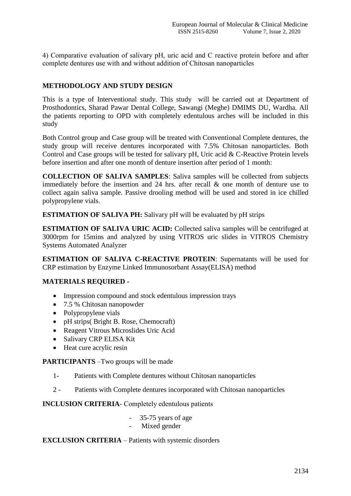4) Comparative evaluation of salivary pH, uric acid and C reactive protein before and after complete dentures use with and without addition of Chitosan nanoparticles

# **METHODOLOGY AND STUDY DESIGN**

This is a type of Interventional study. This study will be carried out at Department of Prosthodontics, Sharad Pawar Dental College, Sawangi (Meghe) DMIMS DU, Wardha. All the patients reporting to OPD with completely edentulous arches will be included in this study

Both Control group and Case group will be treated with Conventional Complete dentures, the study group will receive dentures incorporated with 7.5% Chitosan nanoparticles. Both Control and Case groups will be tested for salivary pH, Uric acid & C-Reactive Protein levels before insertion and after one month of denture insertion after period of 1 month:

**COLLECTION OF SALIVA SAMPLES**: Saliva samples will be collected from subjects immediately before the insertion and 24 hrs. after recall & one month of denture use to collect again saliva sample. Passive drooling method will be used and stored in ice chilled polypropylene vials.

**ESTIMATION OF SALIVA PH:** Salivary pH will be evaluated by pH strips

**ESTIMATION OF SALIVA URIC ACID:** Collected saliva samples will be centrifuged at 3000rpm for 15mins and analyzed by using VITROS uric slides in VITROS Chemistry Systems Automated Analyzer

**ESTIMATION OF SALIVA C-REACTIVE PROTEIN**: Supernatants will be used for CRP estimation by Enzyme Linked Immunosorbant Assay(ELISA) method

#### **MATERIALS REQUIRED -**

- Impression compound and stock edentulous impression trays
- 7.5 % Chitosan nanopowder
- Polypropylene vials
- pH strips( Bright B. Rose, Chemocraft)
- Reagent Vitrous Microslides Uric Acid
- Salivary CRP ELISA Kit
- Heat cure acrylic resin

**PARTICIPANTS** –Two groups will be made

- 1- Patients with Complete dentures without Chitosan nanoparticles
- 2 Patients with Complete dentures incorporated with Chitosan nanoparticles

**INCLUSION CRITERIA**- Completely edentulous patients

- 35-75 years of age
- Mixed gender

#### **EXCLUSION CRITERIA** – Patients with systemic disorders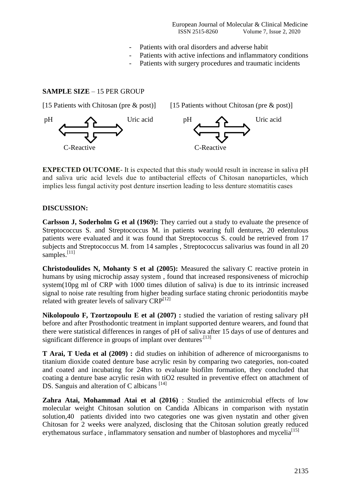- Patients with oral disorders and adverse habit
- Patients with active infections and inflammatory conditions
- Patients with surgery procedures and traumatic incidents

### **SAMPLE SIZE** – 15 PER GROUP



**EXPECTED OUTCOME**- It is expected that this study would result in increase in saliva pH and saliva uric acid levels due to antibacterial effects of Chitosan nanoparticles, which implies less fungal activity post denture insertion leading to less denture stomatitis cases

#### **DISCUSSION:**

**Carlsson J, Soderholm G et al (1969):** They carried out a study to evaluate the presence of Streptococcus S. and Streptococcus M. in patients wearing full dentures, 20 edentulous patients were evaluated and it was found that Streptococcus S. could be retrieved from 17 subjects and Streptococcus M. from 14 samples , Streptococcus salivarius was found in all 20 samples. $[11]$ 

**Christodoulides N, Mohanty S et al (2005):** Measured the salivary C reactive protein in humans by using microchip assay system , found that increased responsiveness of microchip system(10pg ml of CRP with 1000 times dilution of saliva) is due to its intrinsic increased signal to noise rate resulting from higher beading surface stating chronic periodontitis maybe related with greater levels of salivary  $CRP^{[12]}$ 

**Nikolopoulo F, Tzortzopoulu E et al (2007) :** studied the variation of resting salivary pH before and after Prosthodontic treatment in implant supported denture wearers, and found that there were statistical differences in ranges of pH of saliva after 15 days of use of dentures and significant difference in groups of implant over dentures.<sup>[13]</sup>

**T Arai, T Ueda et al (2009) :** did studies on inhibition of adherence of microorganisms to titanium dioxide coated denture base acrylic resin by comparing two categories, non-coated and coated and incubating for 24hrs to evaluate biofilm formation, they concluded that coating a denture base acrylic resin with tiO2 resulted in preventive effect on attachment of DS. Sanguis and alteration of C albicans  $^{[14]}$ 

**Zahra Atai, Mohammad Atai et al (2016)** : Studied the antimicrobial effects of low molecular weight Chitosan solution on Candida Albicans in comparison with nystatin solution,40 patients divided into two categories one was given nystatin and other given Chitosan for 2 weeks were analyzed, disclosing that the Chitosan solution greatly reduced erythematous surface, inflammatory sensation and number of blastophores and mycelia<sup>[15]</sup>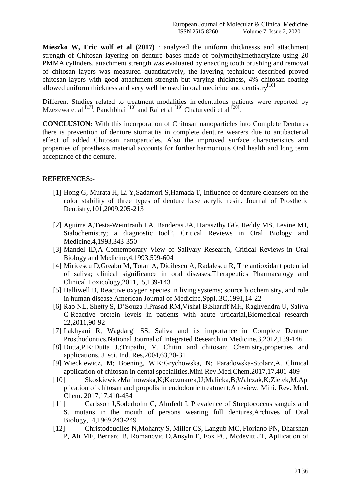**Mieszko W, Eric wolf et al (2017)** : analyzed the uniform thicknesss and attachment strength of Chitosan layering on denture bases made of polymethylmethacrylate using 20 PMMA cylinders, attachment strength was evaluated by enacting tooth brushing and removal of chitosan layers was measured quantitatively, the layering technique described proved chitosan layers with good attachment strength but varying thickness, 4% chitosan coating allowed uniform thickness and very well be used in oral medicine and dentistry<sup>[16]</sup>

Different Studies related to treatment modalities in edentulous patients were reported by Mzezewa et al <sup>[17]</sup>, Panchbhai <sup>[18]</sup> and Rai et al <sup>[19]</sup> Chaturvedi et al <sup>[20]</sup>.

**CONCLUSION:** With this incorporation of Chitosan nanoparticles into Complete Dentures there is prevention of denture stomatitis in complete denture wearers due to antibacterial effect of added Chitosan nanoparticles. Also the improved surface characteristics and properties of prosthesis material accounts for further harmonious Oral health and long term acceptance of the denture.

## **REFERENCES:-**

- [1] Hong G, Murata H, Li Y,Sadamori S,Hamada T, Influence of denture cleansers on the color stability of three types of denture base acrylic resin. Journal of Prosthetic Dentistry,101,2009,205-213
- [2] Aguirre A,Testa-Weintraub LA, Banderas JA, Haraszthy GG, Reddy MS, Levine MJ, Sialochemistry; a diagnostic tool?, Critical Reviews in Oral Biology and Medicine,4,1993,343-350
- [3] Mandel ID,A Contemporary View of Salivary Research, Critical Reviews in Oral Biology and Medicine,4,1993,599-604
- [4] Miricescu D,Greabu M, Totan A, Didilescu A, Radalescu R, The antioxidant potential of saliva; clinical significance in oral diseases,Therapeutics Pharmacalogy and Clinical Toxicology,2011,15,139-143
- [5] Halliwell B, Reactive oxygen species in living systems; source biochemistry, and role in human disease.American Journal of Medicine,Sppl,.3C,1991,14-22
- [6] Rao NL, Shetty S, D'Souza J,Prasad RM,Vishal B,Shariff MH, Raghvendra U, Saliva C-Reactive protein levels in patients with acute urticarial,Biomedical research 22,2011,90-92
- [7] Lakhyani R, Wagdargi SS, Saliva and its importance in Complete Denture Prosthodontics,National Journal of Integrated Research in Medicine,3,2012,139-146
- [8] Dutta,P.K;Dutta J.;Tripathi, V. Chitin and chitosan; Chemistry,properties and applications. J. sci. Ind. Res,2004,63,20-31
- [9] Wieckiewicz, M; Boening, W.K;Grychowska, N; Paradowska-Stolarz,A. Clinical application of chitosan in dental specialities.Mini Rev.Med.Chem.2017,17,401-409
- [10] SkoskiewiczMalinowska,K;Kaczmarek,U;Malicka,B;Walczak,K;Zietek,M.Ap plication of chitosan and propolis in endodontic treatment;A review. Mini. Rev. Med. Chem. 2017,17,410-434
- [11] Carlsson J,Soderholm G, Almfedt I, Prevalence of Streptococcus sanguis and S. mutans in the mouth of persons wearing full dentures,Archives of Oral Biology,14,1969,243-249
- [12] Christodoudiles N,Mohanty S, Miller CS, Langub MC, Floriano PN, Dharshan P, Ali MF, Bernard B, Romanovic D,Ansyln E, Fox PC, Mcdevitt JT, Apllication of